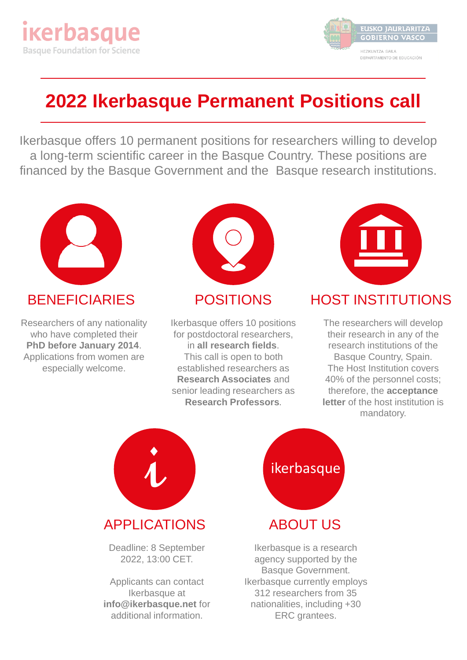



## **2022 Ikerbasque Permanent Positions call**

Ikerbasque offers 10 permanent positions for researchers willing to develop a long-term scientific career in the Basque Country. These positions are financed by the Basque Government and the Basque research institutions.



#### **BENEFICIARIES**

Researchers of any nationality who have completed their **PhD before January 2014**. Applications from women are especially welcome.



#### POSITIONS

Ikerbasque offers 10 positions for postdoctoral researchers, in **all research fields**. This call is open to both established researchers as **Research Associates** and senior leading researchers as **Research Professors**.



#### HOST INSTITUTIONS

The researchers will develop their research in any of the research institutions of the Basque Country, Spain. The Host Institution covers 40% of the personnel costs; therefore, the **acceptance letter** of the host institution is mandatory.



Applicants can contact Ikerbasque at **info@ikerbasque.net** for additional information.



ABOUT US

Ikerbasque is a research agency supported by the Basque Government. Ikerbasque currently employs 312 researchers from 35 nationalities, including +30 ERC grantees.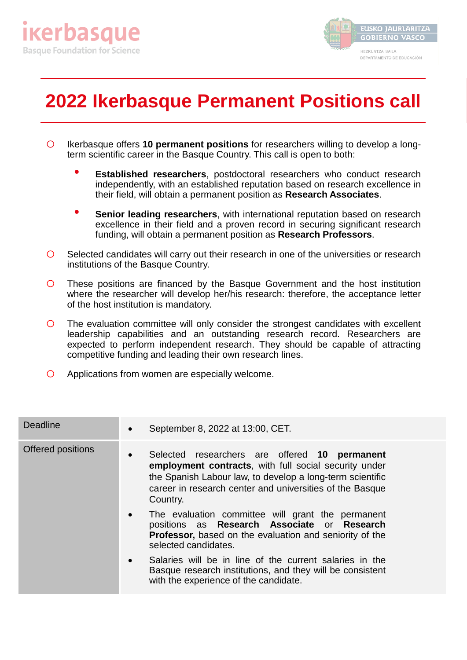



# **2022 Ikerbasque Permanent Positions call**

- o Ikerbasque offers **<sup>10</sup> permanent positions** for researchers willing to develop <sup>a</sup> longterm scientific career in the Basque Country. This call is open to both:
	- **Established researchers**, postdoctoral researchers who conduct research independently, with an established reputation based on research excellence in their field, will obtain a permanent position as **Research Associates**.
	- **Senior leading researchers**, with international reputation based on research excellence in their field and a proven record in securing significant research funding, will obtain a permanent position as **Research Professors**.
- o Selected candidates will carry out their research in one of the universities or research institutions of the Basque Country.
- $\overline{O}$  These positions are financed by the Basque Government and the host institution where the researcher will develop her/his research: therefore, the acceptance letter of the host institution is mandatory.
- $\circ$  The evaluation committee will only consider the strongest candidates with excellent leadership capabilities and an outstanding research record. Researchers are expected to perform independent research. They should be capable of attracting competitive funding and leading their own research lines.
- o Applications from women are especially welcome.

| <b>Deadline</b>   | $\bullet$ | September 8, 2022 at 13:00, CET.                                                                                                                                                                                                            |
|-------------------|-----------|---------------------------------------------------------------------------------------------------------------------------------------------------------------------------------------------------------------------------------------------|
| Offered positions | $\bullet$ | Selected researchers are offered 10 permanent<br>employment contracts, with full social security under<br>the Spanish Labour law, to develop a long-term scientific<br>career in research center and universities of the Basque<br>Country. |
|                   | $\bullet$ | The evaluation committee will grant the permanent<br>positions as Research Associate or Research<br><b>Professor, based on the evaluation and seniority of the</b><br>selected candidates.                                                  |
|                   | $\bullet$ | Salaries will be in line of the current salaries in the<br>Basque research institutions, and they will be consistent<br>with the experience of the candidate.                                                                               |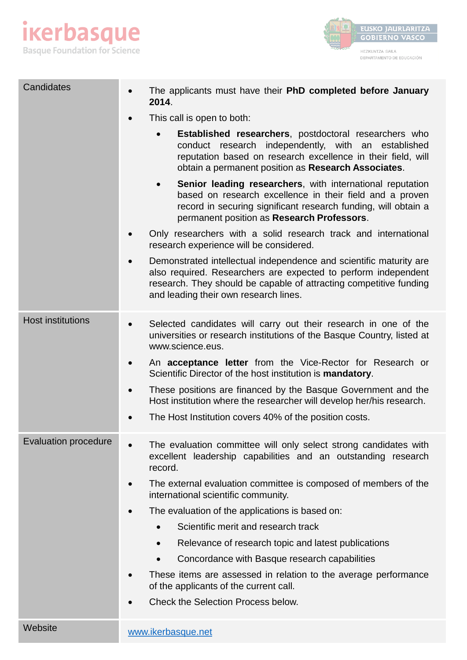



| Candidates                  | The applicants must have their PhD completed before January<br>2014.                                                                                                                                                                                |
|-----------------------------|-----------------------------------------------------------------------------------------------------------------------------------------------------------------------------------------------------------------------------------------------------|
|                             | This call is open to both:                                                                                                                                                                                                                          |
|                             | <b>Established researchers, postdoctoral researchers who</b><br>conduct research independently, with an established<br>reputation based on research excellence in their field, will<br>obtain a permanent position as Research Associates.          |
|                             | Senior leading researchers, with international reputation<br>$\bullet$<br>based on research excellence in their field and a proven<br>record in securing significant research funding, will obtain a<br>permanent position as Research Professors.  |
|                             | Only researchers with a solid research track and international<br>research experience will be considered.                                                                                                                                           |
|                             | Demonstrated intellectual independence and scientific maturity are<br>also required. Researchers are expected to perform independent<br>research. They should be capable of attracting competitive funding<br>and leading their own research lines. |
| <b>Host institutions</b>    | Selected candidates will carry out their research in one of the<br>$\bullet$<br>universities or research institutions of the Basque Country, listed at<br>www.science.eus.                                                                          |
|                             | An acceptance letter from the Vice-Rector for Research or<br>$\bullet$<br>Scientific Director of the host institution is mandatory.                                                                                                                 |
|                             | These positions are financed by the Basque Government and the<br>$\bullet$<br>Host institution where the researcher will develop her/his research.                                                                                                  |
|                             | The Host Institution covers 40% of the position costs.                                                                                                                                                                                              |
| <b>Evaluation procedure</b> | The evaluation committee will only select strong candidates with<br>excellent leadership capabilities and an outstanding research<br>record.                                                                                                        |
|                             | The external evaluation committee is composed of members of the<br>international scientific community.                                                                                                                                              |
|                             | The evaluation of the applications is based on:                                                                                                                                                                                                     |
|                             | Scientific merit and research track                                                                                                                                                                                                                 |
|                             | Relevance of research topic and latest publications                                                                                                                                                                                                 |
|                             | Concordance with Basque research capabilities<br>$\bullet$                                                                                                                                                                                          |
|                             | These items are assessed in relation to the average performance<br>of the applicants of the current call.                                                                                                                                           |
|                             | <b>Check the Selection Process below.</b>                                                                                                                                                                                                           |
| Website                     | www.ikerbasque.net                                                                                                                                                                                                                                  |